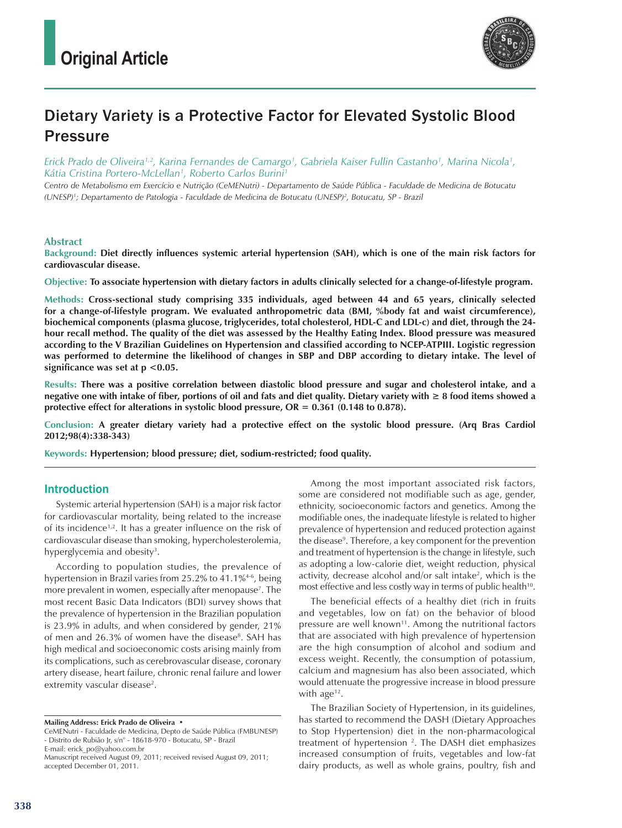

# Dietary Variety is a Protective Factor for Elevated Systolic Blood **Pressure**

*Erick Prado de Oliveira1,2, Karina Fernandes de Camargo1 , Gabriela Kaiser Fullin Castanho1 , Marina Nicola1 , Kátia Cristina Portero-McLellan1 , Roberto Carlos Burini1*

*Centro de Metabolismo em Exercício e Nutrição (CeMENutri) - Departamento de Saúde Pública - Faculdade de Medicina de Botucatu (UNESP)1 ; Departamento de Patologia - Faculdade de Medicina de Botucatu (UNESP)2 , Botucatu, SP - Brazil*

### **Abstract**

**Background: Diet directly influences systemic arterial hypertension (SAH), which is one of the main risk factors for cardiovascular disease.**

**Objective: To associate hypertension with dietary factors in adults clinically selected for a change-of-lifestyle program.**

**Methods: Cross-sectional study comprising 335 individuals, aged between 44 and 65 years, clinically selected for a change-of-lifestyle program. We evaluated anthropometric data (BMI, %body fat and waist circumference), biochemical components (plasma glucose, triglycerides, total cholesterol, HDL-C and LDL-c) and diet, through the 24 hour recall method. The quality of the diet was assessed by the Healthy Eating Index. Blood pressure was measured according to the V Brazilian Guidelines on Hypertension and classified according to NCEP-ATPIII. Logistic regression was performed to determine the likelihood of changes in SBP and DBP according to dietary intake. The level of significance was set at p <0.05.**

**Results: There was a positive correlation between diastolic blood pressure and sugar and cholesterol intake, and a negative one with intake of fiber, portions of oil and fats and diet quality. Dietary variety with ≥ 8 food items showed a protective effect for alterations in systolic blood pressure, OR = 0.361 (0.148 to 0.878).** 

**Conclusion: A greater dietary variety had a protective effect on the systolic blood pressure. (Arq Bras Cardiol 2012;98(4):338-343)**

**Keywords: Hypertension; blood pressure; diet, sodium-restricted; food quality.**

### Introduction

Systemic arterial hypertension (SAH) is a major risk factor for cardiovascular mortality, being related to the increase of its incidence<sup>1,2</sup>. It has a greater influence on the risk of cardiovascular disease than smoking, hypercholesterolemia, hyperglycemia and obesity<sup>3</sup>.

According to population studies, the prevalence of hypertension in Brazil varies from 25.2% to 41.1%<sup>4-6</sup>, being more prevalent in women, especially after menopause7 . The most recent Basic Data Indicators (BDI) survey shows that the prevalence of hypertension in the Brazilian population is 23.9% in adults, and when considered by gender, 21% of men and 26.3% of women have the disease<sup>8</sup>. SAH has high medical and socioeconomic costs arising mainly from its complications, such as cerebrovascular disease, coronary artery disease, heart failure, chronic renal failure and lower extremity vascular disease<sup>2</sup>.

**Mailing Address: Erick Prado de Oliveira •** 

Among the most important associated risk factors, some are considered not modifiable such as age, gender, ethnicity, socioeconomic factors and genetics. Among the modifiable ones, the inadequate lifestyle is related to higher prevalence of hypertension and reduced protection against the disease<sup>9</sup>. Therefore, a key component for the prevention and treatment of hypertension is the change in lifestyle, such as adopting a low-calorie diet, weight reduction, physical activity, decrease alcohol and/or salt intake<sup>2</sup>, which is the most effective and less costly way in terms of public health<sup>10</sup>.

The beneficial effects of a healthy diet (rich in fruits and vegetables, low on fat) on the behavior of blood pressure are well known<sup>11</sup>. Among the nutritional factors that are associated with high prevalence of hypertension are the high consumption of alcohol and sodium and excess weight. Recently, the consumption of potassium, calcium and magnesium has also been associated, which would attenuate the progressive increase in blood pressure with  $age^{12}$ .

The Brazilian Society of Hypertension, in its guidelines, has started to recommend the DASH (Dietary Approaches to Stop Hypertension) diet in the non-pharmacological treatment of hypertension<sup>2</sup>. The DASH diet emphasizes increased consumption of fruits, vegetables and low-fat dairy products, as well as whole grains, poultry, fish and

CeMENutri - Faculdade de Medicina, Depto de Saúde Pública (FMBUNESP) - Distrito de Rubião Jr, s/n° - 18618-970 - Botucatu, SP - Brazil E-mail: erick\_po@yahoo.com.br

Manuscript received August 09, 2011; received revised August 09, 2011; accepted December 01, 2011.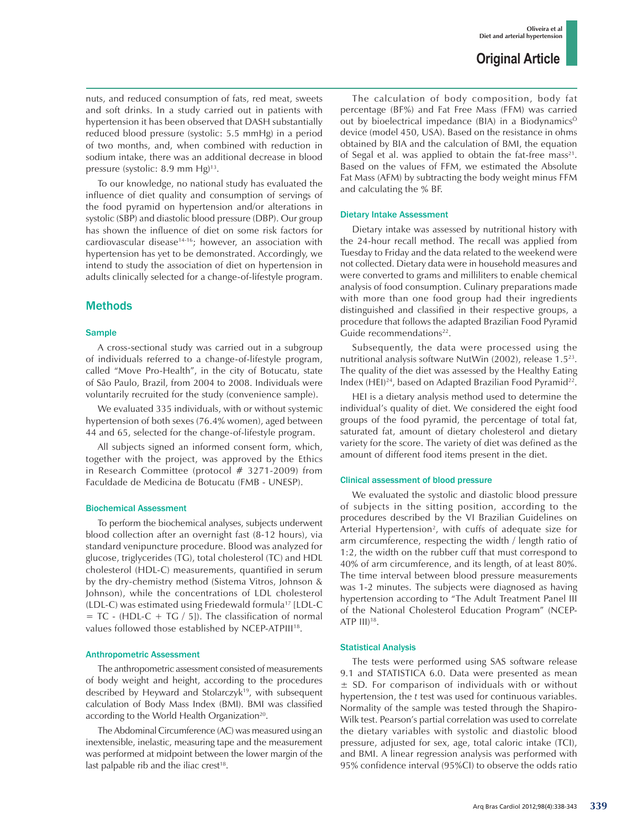nuts, and reduced consumption of fats, red meat, sweets and soft drinks. In a study carried out in patients with hypertension it has been observed that DASH substantially reduced blood pressure (systolic: 5.5 mmHg) in a period of two months, and, when combined with reduction in sodium intake, there was an additional decrease in blood pressure (systolic: 8.9 mm Hg)<sup>13</sup>.

To our knowledge, no national study has evaluated the influence of diet quality and consumption of servings of the food pyramid on hypertension and/or alterations in systolic (SBP) and diastolic blood pressure (DBP). Our group has shown the influence of diet on some risk factors for cardiovascular disease<sup>14-16</sup>; however, an association with hypertension has yet to be demonstrated. Accordingly, we intend to study the association of diet on hypertension in adults clinically selected for a change-of-lifestyle program.

### Methods

### **Sample**

A cross-sectional study was carried out in a subgroup of individuals referred to a change-of-lifestyle program, called "Move Pro-Health", in the city of Botucatu, state of São Paulo, Brazil, from 2004 to 2008. Individuals were voluntarily recruited for the study (convenience sample).

We evaluated 335 individuals, with or without systemic hypertension of both sexes (76.4% women), aged between 44 and 65, selected for the change-of-lifestyle program.

All subjects signed an informed consent form, which, together with the project, was approved by the Ethics in Research Committee (protocol # 3271-2009) from Faculdade de Medicina de Botucatu (FMB - UNESP).

#### Biochemical Assessment

To perform the biochemical analyses, subjects underwent blood collection after an overnight fast (8-12 hours), via standard venipuncture procedure. Blood was analyzed for glucose, triglycerides (TG), total cholesterol (TC) and HDL cholesterol (HDL-C) measurements, quantified in serum by the dry-chemistry method (Sistema Vitros, Johnson & Johnson), while the concentrations of LDL cholesterol (LDL-C) was estimated using Friedewald formula17 [LDL-C  $= TC - (HDL-C + TC / 5)$ . The classification of normal values followed those established by NCEP-ATPIII<sup>18</sup>.

#### Anthropometric Assessment

The anthropometric assessment consisted of measurements of body weight and height, according to the procedures described by Heyward and Stolarczyk<sup>19</sup>, with subsequent calculation of Body Mass Index (BMI). BMI was classified according to the World Health Organization<sup>20</sup>.

The Abdominal Circumference (AC) was measured using an inextensible, inelastic, measuring tape and the measurement was performed at midpoint between the lower margin of the last palpable rib and the iliac crest $18$ .

The calculation of body composition, body fat percentage (BF%) and Fat Free Mass (FFM) was carried out by bioelectrical impedance (BIA) in a BiodynamicsÒ device (model 450, USA). Based on the resistance in ohms obtained by BIA and the calculation of BMI, the equation of Segal et al. was applied to obtain the fat-free mass<sup>21</sup>. Based on the values of FFM, we estimated the Absolute Fat Mass (AFM) by subtracting the body weight minus FFM and calculating the % BF.

#### Dietary Intake Assessment

Dietary intake was assessed by nutritional history with the 24-hour recall method. The recall was applied from Tuesday to Friday and the data related to the weekend were not collected. Dietary data were in household measures and were converted to grams and milliliters to enable chemical analysis of food consumption. Culinary preparations made with more than one food group had their ingredients distinguished and classified in their respective groups, a procedure that follows the adapted Brazilian Food Pyramid Guide recommendations<sup>22</sup>.

Subsequently, the data were processed using the nutritional analysis software NutWin (2002), release 1.523. The quality of the diet was assessed by the Healthy Eating Index (HEI)<sup>24</sup>, based on Adapted Brazilian Food Pyramid<sup>22</sup>.

HEI is a dietary analysis method used to determine the individual's quality of diet. We considered the eight food groups of the food pyramid, the percentage of total fat, saturated fat, amount of dietary cholesterol and dietary variety for the score. The variety of diet was defined as the amount of different food items present in the diet.

### Clinical assessment of blood pressure

We evaluated the systolic and diastolic blood pressure of subjects in the sitting position, according to the procedures described by the VI Brazilian Guidelines on Arterial Hypertension<sup>2</sup>, with cuffs of adequate size for arm circumference, respecting the width / length ratio of 1:2, the width on the rubber cuff that must correspond to 40% of arm circumference, and its length, of at least 80%. The time interval between blood pressure measurements was 1-2 minutes. The subjects were diagnosed as having hypertension according to "The Adult Treatment Panel III of the National Cholesterol Education Program" (NCEP-ATP III)18.

#### Statistical Analysis

The tests were performed using SAS software release 9.1 and STATISTICA 6.0. Data were presented as mean ± SD. For comparison of individuals with or without hypertension, the *t* test was used for continuous variables. Normality of the sample was tested through the Shapiro-Wilk test. Pearson's partial correlation was used to correlate the dietary variables with systolic and diastolic blood pressure, adjusted for sex, age, total caloric intake (TCI), and BMI. A linear regression analysis was performed with 95% confidence interval (95%CI) to observe the odds ratio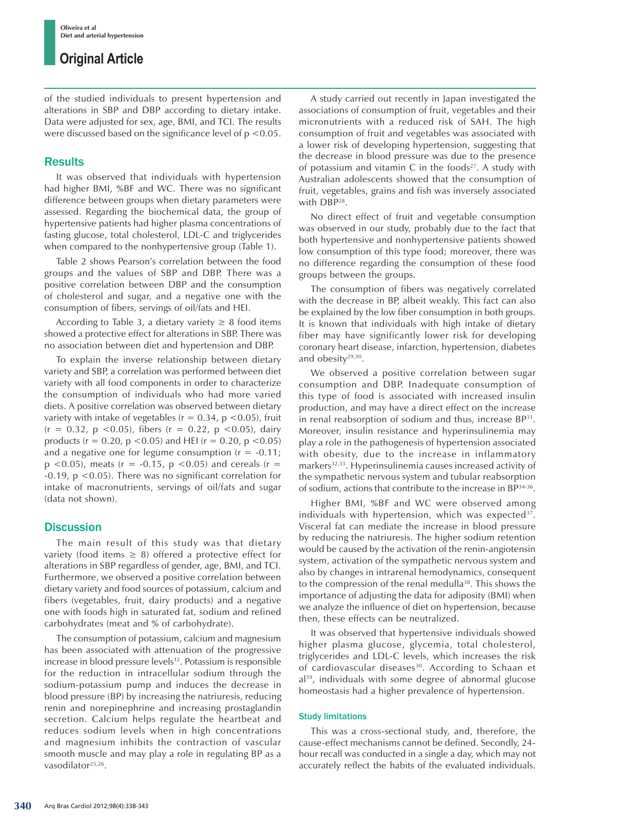## **Original Article**

of the studied individuals to present hypertension and alterations in SBP and DBP according to dietary intake. Data were adjusted for sex, age, BMI, and TCI. The results were discussed based on the significance level of p <0.05.

### **Results**

It was observed that individuals with hypertension had higher BMI, %BF and WC. There was no significant difference between groups when dietary parameters were assessed. Regarding the biochemical data, the group of hypertensive patients had higher plasma concentrations of fasting glucose, total cholesterol, LDL-C and triglycerides when compared to the nonhypertensive group (Table 1).

Table 2 shows Pearson's correlation between the food groups and the values of SBP and DBP. There was a positive correlation between DBP and the consumption of cholesterol and sugar, and a negative one with the consumption of fibers, servings of oil/fats and HEI.

According to Table 3, a dietary variety  $\geq 8$  food items showed a protective effect for alterations in SBP. There was no association between diet and hypertension and DBP.

To explain the inverse relationship between dietary variety and SBP, a correlation was performed between diet variety with all food components in order to characterize the consumption of individuals who had more varied diets. A positive correlation was observed between dietary variety with intake of vegetables ( $r = 0.34$ ,  $p \le 0.05$ ), fruit  $(r = 0.32, p < 0.05)$ , fibers  $(r = 0.22, p < 0.05)$ , dairy products ( $r = 0.20$ ,  $p < 0.05$ ) and HEI ( $r = 0.20$ ,  $p < 0.05$ ) and a negative one for legume consumption  $(r = -0.11)$ ;  $p$  <0.05), meats (r = -0.15,  $p$  <0.05) and cereals (r = -0.19, p <0.05). There was no significant correlation for intake of macronutrients, servings of oil/fats and sugar (data not shown).

### **Discussion**

The main result of this study was that dietary variety (food items  $\geq$  8) offered a protective effect for alterations in SBP regardless of gender, age, BMI, and TCI. Furthermore, we observed a positive correlation between dietary variety and food sources of potassium, calcium and fibers (vegetables, fruit, dairy products) and a negative one with foods high in saturated fat, sodium and refined carbohydrates (meat and % of carbohydrate).

The consumption of potassium, calcium and magnesium has been associated with attenuation of the progressive increase in blood pressure levels<sup>12</sup>. Potassium is responsible for the reduction in intracellular sodium through the sodium-potassium pump and induces the decrease in blood pressure (BP) by increasing the natriuresis, reducing renin and norepinephrine and increasing prostaglandin secretion. Calcium helps regulate the heartbeat and reduces sodium levels when in high concentrations and magnesium inhibits the contraction of vascular smooth muscle and may play a role in regulating BP as a vasodilator<sup>25,26</sup>.

A study carried out recently in Japan investigated the associations of consumption of fruit, vegetables and their micronutrients with a reduced risk of SAH. The high consumption of fruit and vegetables was associated with a lower risk of developing hypertension, suggesting that the decrease in blood pressure was due to the presence of potassium and vitamin C in the foods $27$ . A study with Australian adolescents showed that the consumption of fruit, vegetables, grains and fish was inversely associated with DBP28.

No direct effect of fruit and vegetable consumption was observed in our study, probably due to the fact that both hypertensive and nonhypertensive patients showed low consumption of this type food; moreover, there was no difference regarding the consumption of these food groups between the groups.

The consumption of fibers was negatively correlated with the decrease in BP, albeit weakly. This fact can also be explained by the low fiber consumption in both groups. It is known that individuals with high intake of dietary fiber may have significantly lower risk for developing coronary heart disease, infarction, hypertension, diabetes and obesity<sup>29,30</sup>.

We observed a positive correlation between sugar consumption and DBP. Inadequate consumption of this type of food is associated with increased insulin production, and may have a direct effect on the increase in renal reabsorption of sodium and thus, increase BP31. Moreover, insulin resistance and hyperinsulinemia may play a role in the pathogenesis of hypertension associated with obesity, due to the increase in inflammatory markers<sup>32,33</sup>. Hyperinsulinemia causes increased activity of the sympathetic nervous system and tubular reabsorption of sodium, actions that contribute to the increase in BP34-36.

Higher BMI, %BF and WC were observed among individuals with hypertension, which was expected $37$ . Visceral fat can mediate the increase in blood pressure by reducing the natriuresis. The higher sodium retention would be caused by the activation of the renin-angiotensin system, activation of the sympathetic nervous system and also by changes in intrarenal hemodynamics, consequent to the compression of the renal medulla<sup>38</sup>. This shows the importance of adjusting the data for adiposity (BMI) when we analyze the influence of diet on hypertension, because then, these effects can be neutralized.

It was observed that hypertensive individuals showed higher plasma glucose, glycemia, total cholesterol, triglycerides and LDL-C levels, which increases the risk of cardiovascular diseases<sup>30</sup>. According to Schaan et al<sup>39</sup>, individuals with some degree of abnormal glucose homeostasis had a higher prevalence of hypertension.

### Study limitations

This was a cross-sectional study, and, therefore, the cause-effect mechanisms cannot be defined. Secondly, 24 hour recall was conducted in a single a day, which may not accurately reflect the habits of the evaluated individuals.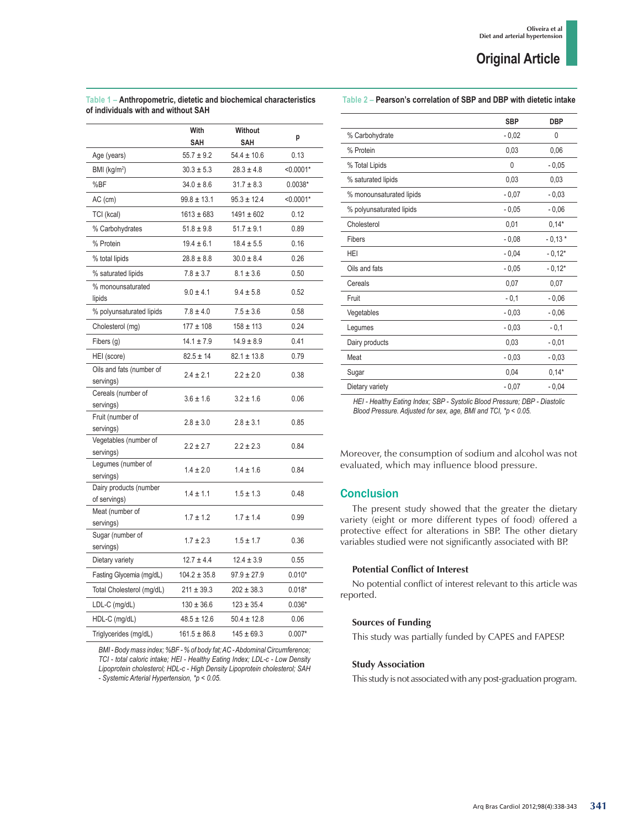|                                        | With             | <b>Without</b>  | p           |
|----------------------------------------|------------------|-----------------|-------------|
|                                        | SAH              | <b>SAH</b>      |             |
| Age (years)                            | $55.7 \pm 9.2$   | $54.4 \pm 10.6$ | 0.13        |
| BMI (kg/m <sup>2</sup> )               | $30.3 \pm 5.3$   | $28.3 \pm 4.8$  | $< 0.0001*$ |
| %BF                                    | $34.0 \pm 8.6$   | $31.7 \pm 8.3$  | $0.0038*$   |
| $AC$ (cm)                              | $99.8 \pm 13.1$  | $95.3 \pm 12.4$ | $< 0.0001*$ |
| TCI (kcal)                             | $1613 \pm 683$   | $1491 \pm 602$  | 0.12        |
| % Carbohydrates                        | $51.8 \pm 9.8$   | $51.7 \pm 9.1$  | 0.89        |
| % Protein                              | $19.4 \pm 6.1$   | $18.4 \pm 5.5$  | 0.16        |
| % total lipids                         | $28.8 \pm 8.8$   | $30.0 \pm 8.4$  | 0.26        |
| % saturated lipids                     | $7.8 \pm 3.7$    | $8.1 \pm 3.6$   | 0.50        |
| % monounsaturated<br>lipids            | $9.0 \pm 4.1$    | $9.4 \pm 5.8$   | 0.52        |
| % polyunsaturated lipids               | $7.8 \pm 4.0$    | $7.5 \pm 3.6$   | 0.58        |
| Cholesterol (mg)                       | $177 \pm 108$    | $158 \pm 113$   | 0.24        |
| Fibers (g)                             | $14.1 \pm 7.9$   | $14.9 \pm 8.9$  | 0.41        |
| HEI (score)                            | $82.5 \pm 14$    | $82.1 \pm 13.8$ | 0.79        |
| Oils and fats (number of<br>servings)  | $2.4 \pm 2.1$    | $2.2 \pm 2.0$   | 0.38        |
| Cereals (number of<br>servings)        | $3.6 \pm 1.6$    | $3.2 \pm 1.6$   | 0.06        |
| Fruit (number of<br>servings)          | $2.8 \pm 3.0$    | $2.8 \pm 3.1$   | 0.85        |
| Vegetables (number of<br>servings)     | $2.2 \pm 2.7$    | $2.2 \pm 2.3$   | 0.84        |
| Legumes (number of<br>servings)        | $1.4 \pm 2.0$    | $1.4 \pm 1.6$   | 0.84        |
| Dairy products (number<br>of servings) | $1.4 \pm 1.1$    | $1.5 \pm 1.3$   | 0.48        |
| Meat (number of<br>servings)           | $1.7 \pm 1.2$    | $1.7 \pm 1.4$   | 0.99        |
| Sugar (number of<br>servings)          | $1.7 \pm 2.3$    | $1.5 \pm 1.7$   | 0.36        |
| Dietary variety                        | $12.7 \pm 4.4$   | $12.4 \pm 3.9$  | 0.55        |
| Fasting Glycemia (mg/dL)               | $104.2 \pm 35.8$ | $97.9 \pm 27.9$ | $0.010*$    |
| Total Cholesterol (mg/dL)              | $211 \pm 39.3$   | $202 \pm 38.3$  | $0.018*$    |
| LDL-C (mg/dL)                          | $130 \pm 36.6$   | $123 \pm 35.4$  | $0.036*$    |
| HDL-C (mg/dL)                          | $48.5 \pm 12.6$  | $50.4 \pm 12.8$ | 0.06        |
| Triglycerides (mg/dL)                  | $161.5 \pm 86.8$ | $145 \pm 69.3$  | $0.007*$    |

*BMI - Body mass index; %BF - % of body fat; AC - Abdominal Circumference; TCI - total caloric intake; HEI - Healthy Eating Index; LDL-c - Low Density Lipoprotein cholesterol; HDL-c - High Density Lipoprotein cholesterol; SAH* 

*- Systemic Arterial Hypertension, \*p < 0.05.*

**Table 1 – Anthropometric, dietetic and biochemical characteristics** 

### **Table 2 – Pearson's correlation of SBP and DBP with dietetic intake**

|                          | <b>SBP</b> | <b>DBP</b> |
|--------------------------|------------|------------|
| % Carbohydrate           | $-0,02$    | 0          |
| % Protein                | 0,03       | 0,06       |
| % Total Lipids           | 0          | $-0,05$    |
| % saturated lipids       | 0,03       | 0,03       |
| % monounsaturated lipids | $-0,07$    | $-0,03$    |
| % polyunsaturated lipids | $-0,05$    | $-0,06$    |
| Cholesterol              | 0,01       | $0,14*$    |
| Fibers                   | $-0,08$    | $-0,13*$   |
| HEI                      | $-0,04$    | $-0,12*$   |
| Oils and fats            | $-0,05$    | $-0,12*$   |
| Cereals                  | 0,07       | 0,07       |
| Fruit                    | $-0,1$     | $-0,06$    |
| Vegetables               | $-0,03$    | $-0,06$    |
| Legumes                  | $-0,03$    | $-0,1$     |
| Dairy products           | 0,03       | $-0,01$    |
| Meat                     | $-0,03$    | $-0,03$    |
| Sugar                    | 0,04       | $0,14*$    |
| Dietary variety          | $-0,07$    | $-0,04$    |

*HEI - Healthy Eating Index; SBP - Systolic Blood Pressure; DBP - Diastolic Blood Pressure. Adjusted for sex, age, BMI and TCI, \*p < 0.05.*

Moreover, the consumption of sodium and alcohol was not evaluated, which may influence blood pressure.

### **Conclusion**

The present study showed that the greater the dietary variety (eight or more different types of food) offered a protective effect for alterations in SBP. The other dietary variables studied were not significantly associated with BP.

### **Potential Conflict of Interest**

No potential conflict of interest relevant to this article was reported.

### **Sources of Funding**

This study was partially funded by CAPES and FAPESP.

#### **Study Association**

This study is not associated with any post-graduation program.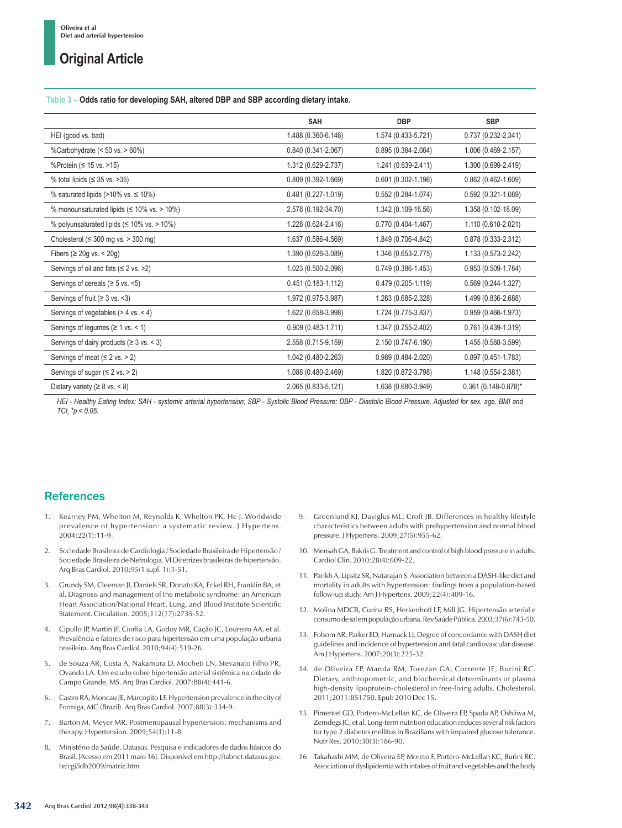# **Original Article**

#### **Table 3 – Odds ratio for developing SAH, altered DBP and SBP according dietary intake.**

|                                                     | <b>SAH</b>             | <b>DBP</b>             | <b>SBP</b>             |
|-----------------------------------------------------|------------------------|------------------------|------------------------|
| HEI (good vs. bad)                                  | 1.488 (0.360-6.146)    | 1.574 (0.433-5.721)    | 0.737 (0.232-2.341)    |
| %Carbohydrate (< 50 vs. > 60%)                      | $0.840(0.341 - 2.067)$ | $0.895(0.384 - 2.084)$ | 1.006 (0.469-2.157)    |
| %Protein ( $\leq$ 15 vs. > 15)                      | 1.312 (0.629-2.737)    | 1.241 (0.639-2.411)    | 1.300 (0.699-2.419)    |
| % total lipids ( $\leq$ 35 vs. > 35)                | $0.809(0.392 - 1.669)$ | $0.601(0.302 - 1.196)$ | $0.862(0.462 - 1.609)$ |
| % saturated lipids (>10% vs. $\leq$ 10%)            | $0.481(0.227 - 1.019)$ | $0.552(0.284 - 1.074)$ | $0.592(0.321 - 1.089)$ |
| % monounsaturated lipids ( $\leq$ 10% vs. > 10%)    | 2.578 (0.192-34.70)    | 1.342 (0.109-16.56)    | 1.358 (0.102-18.09)    |
| % polyunsaturated lipids ( $\leq 10\%$ vs. > 10%)   | 1.228 (0.624-2.416)    | 0.770 (0.404-1.467)    | 1.110 (0.610-2.021)    |
| Cholesterol ( $\leq$ 300 mg vs. > 300 mg)           | 1.637 (0.586-4.569)    | 1.849 (0.706-4.842)    | 0.878 (0.333-2.312)    |
| Fibers ( $\geq$ 20q vs. < 20q)                      | 1.390 (0.626-3.089)    | 1.346 (0.653-2.775)    | 1.133 (0.573-2.242)    |
| Servings of oil and fats $(\leq 2 \text{ vs. } >2)$ | 1.023 (0.500-2.096)    | $0.749(0.386 - 1.453)$ | $0.953(0.509 - 1.784)$ |
| Servings of cereals ( $\geq$ 5 vs. <5)              | $0.451(0.183 - 1.112)$ | $0.479(0.205 - 1.119)$ | $0.569(0.244 - 1.327)$ |
| Servings of fruit ( $\geq 3$ vs. <3)                | 1.972 (0.975-3.987)    | 1.263 (0.685-2.328)    | 1.499 (0.836-2.688)    |
| Servings of vegetables $(> 4 \text{ vs. } < 4)$     | 1.622 (0.658-3.998)    | 1.724 (0.775-3.837)    | $0.959(0.466 - 1.973)$ |
| Servings of legumes ( $\geq 1$ vs. < 1)             | $0.909(0.483 - 1.711)$ | 1.347 (0.755-2.402)    | 0.761 (0.439-1.319)    |
| Servings of dairy products ( $\geq 3$ vs. < 3)      | 2.558 (0.715-9.159)    | 2.150 (0.747-6.190)    | 1.455 (0.588-3.599)    |
| Servings of meat $(\leq 2 \text{ vs.} > 2)$         | 1.042 (0.480-2.263)    | $0.989(0.484 - 2.020)$ | $0.897(0.451 - 1.783)$ |
| Servings of sugar ( $\leq$ 2 vs. > 2)               | 1.088 (0.480-2.469)    | 1.820 (0.872-3.798)    | 1.148 (0.554-2.381)    |
| Dietary variety ( $\geq 8$ vs. < 8)                 | 2.065 (0.833-5.121)    | 1.638 (0.680-3.949)    | 0.361 (0.148-0.878)*   |

*HEI - Healthy Eating Index; SAH - systemic arterial hypertension; SBP - Systolic Blood Pressure; DBP - Diastolic Blood Pressure. Adjusted for sex, age, BMI and TCI, \*p < 0.05.*

### **References**

- 1. Kearney PM, Whelton M, Reynolds K, Whelton PK, He J. Worldwide prevalence of hypertension: a systematic review. J Hypertens. 2004;22(1):11-9.
- 2. Sociedade Brasileira de Cardiologia / Sociedade Brasileira de Hipertensão / Sociedade Brasileira de Nefrologia. VI Diretrizes brasileiras de hipertensão. Arq Bras Cardiol. 2010;95(1 supl. 1):1-51.
- 3. Grundy SM, Cleeman JI, Daniels SR, Donato KA, Eckel RH, Franklin BA, et al. Diagnosis and management of the metabolic syndrome: an American Heart Association/National Heart, Lung, and Blood Institute Scientific Statement. Circulation. 2005;112(17):2735-52.
- 4. Cipullo JP, Martin JF, Ciorlia LA, Godoy MR, Cação JC, Loureiro AA, et al. Prevalência e fatores de risco para hipertensão em uma população urbana brasileira. Arq Bras Cardiol. 2010;94(4):519-26.
- 5. de Souza AR, Costa A, Nakamura D, Mocheti LN, Stevanato Filho PR, Ovando LA. Um estudo sobre hipertensão arterial sistêmica na cidade de Campo Grande, MS. Arq Bras Cardiol. 2007;88(4):441-6.
- 6. Castro RA, Moncau JE, Marcopito LF. Hypertension prevalence in the city of Formiga, MG (Brazil). Arq Bras Cardiol. 2007;88(3):334-9.
- Barton M, Meyer MR. Postmenopausal hypertension: mechanisms and therapy. Hypertension. 2009;54(1):11-8.
- 8. Ministério da Saúde. Datasus. Pesquisa e indicadores de dados básicos do Brasil. [Acesso em 2011 maio 16]. Disponível em http://tabnet.datasus.gov. br/cgi/idb2009/matriz.htm
- 9. Greenlund KJ, Daviglus ML, Croft JB. Differences in healthy lifestyle characteristics between adults with prehypertension and normal blood pressure. J Hypertens. 2009;27(5):955-62.
- 10. Mensah GA, Bakris G. Treatment and control of high blood pressure in adults. Cardiol Clin. 2010;28(4):609-22.
- 11. Parikh A, Lipsitz SR, Natarajan S. Association between a DASH-like diet and mortality in adults with hypertension: findings from a population-based follow-up study. Am J Hypertens. 2009;22(4):409-16.
- 12. Molina MDCB, Cunha RS, Herkenhoff LF, Mill JG. Hipertensão arterial e consumo de sal em população urbana. Rev Saúde Pública. 2003;37(6):743-50.
- 13. Folsom AR, Parker ED, Harnack LJ. Degree of concordance with DASH diet guidelines and incidence of hypertension and fatal cardiovascular disease. Am J Hypertens. 2007;20(3):225-32.
- 14. de Oliveira EP, Manda RM, Torezan GA, Corrente JE, Burini RC. Dietary, anthropometric, and biochemical determinants of plasma high-density lipoprotein-cholesterol in free-living adults. Cholesterol. 2011;2011:851750. Epub 2010 Dec 15.
- 15. Pimentel GD, Portero-McLellan KC, de Oliveira EP, Spada AP, Oshiiwa M, Zemdegs JC, et al. Long-term nutrition education reduces several risk factors for type 2 diabetes mellitus in Brazilians with impaired glucose tolerance. Nutr Res. 2010;30(3):186-90.
- 16. Takahashi MM, de Oliveira EP, Moreto F, Portero-McLellan KC, Burini RC. Association of dyslipidemia with intakes of fruit and vegetables and the body